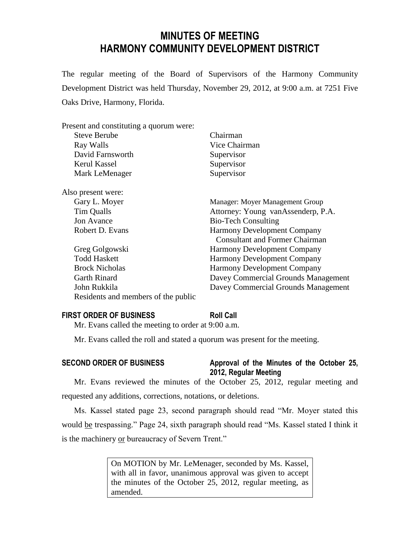# **MINUTES OF MEETING HARMONY COMMUNITY DEVELOPMENT DISTRICT**

The regular meeting of the Board of Supervisors of the Harmony Community Development District was held Thursday, November 29, 2012, at 9:00 a.m. at 7251 Five Oaks Drive, Harmony, Florida.

| Present and constituting a quorum were: |                                       |
|-----------------------------------------|---------------------------------------|
| <b>Steve Berube</b>                     | Chairman                              |
| Ray Walls                               | Vice Chairman                         |
| David Farnsworth                        | Supervisor                            |
| Kerul Kassel                            | Supervisor                            |
| Mark LeMenager                          | Supervisor                            |
| Also present were:                      |                                       |
| Gary L. Moyer                           | Manager: Moyer Management Group       |
| Tim Qualls                              | Attorney: Young vanAssenderp, P.A.    |
| <b>Jon Avance</b>                       | <b>Bio-Tech Consulting</b>            |
| Robert D. Evans                         | Harmony Development Company           |
|                                         | <b>Consultant and Former Chairman</b> |
| Greg Golgowski                          | <b>Harmony Development Company</b>    |
| <b>Todd Haskett</b>                     | <b>Harmony Development Company</b>    |
| <b>Brock Nicholas</b>                   | <b>Harmony Development Company</b>    |
| <b>Garth Rinard</b>                     | Davey Commercial Grounds Management   |
| John Rukkila                            | Davey Commercial Grounds Management   |
| Residents and members of the public     |                                       |

# **FIRST ORDER OF BUSINESS Roll Call**

Mr. Evans called the meeting to order at 9:00 a.m.

Mr. Evans called the roll and stated a quorum was present for the meeting.

# **SECOND ORDER OF BUSINESS Approval of the Minutes of the October 25,**

# **2012, Regular Meeting**

Mr. Evans reviewed the minutes of the October 25, 2012, regular meeting and requested any additions, corrections, notations, or deletions.

Ms. Kassel stated page 23, second paragraph should read "Mr. Moyer stated this would be trespassing." Page 24, sixth paragraph should read "Ms. Kassel stated I think it is the machinery or bureaucracy of Severn Trent."

> On MOTION by Mr. LeMenager, seconded by Ms. Kassel, with all in favor, unanimous approval was given to accept the minutes of the October 25, 2012, regular meeting, as amended.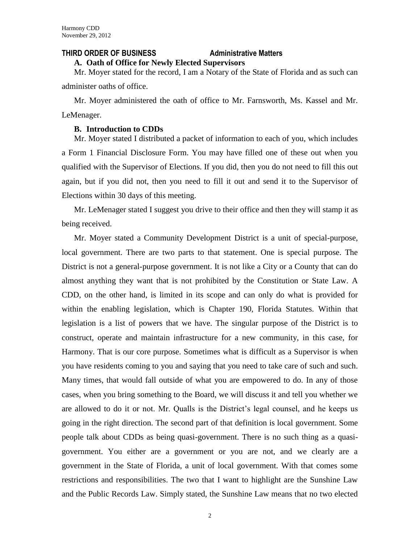## **THIRD ORDER OF BUSINESS Administrative Matters**

# **A. Oath of Office for Newly Elected Supervisors**

Mr. Moyer stated for the record, I am a Notary of the State of Florida and as such can administer oaths of office.

Mr. Moyer administered the oath of office to Mr. Farnsworth, Ms. Kassel and Mr. LeMenager.

### **B. Introduction to CDDs**

Mr. Moyer stated I distributed a packet of information to each of you, which includes a Form 1 Financial Disclosure Form. You may have filled one of these out when you qualified with the Supervisor of Elections. If you did, then you do not need to fill this out again, but if you did not, then you need to fill it out and send it to the Supervisor of Elections within 30 days of this meeting.

Mr. LeMenager stated I suggest you drive to their office and then they will stamp it as being received.

Mr. Moyer stated a Community Development District is a unit of special-purpose, local government. There are two parts to that statement. One is special purpose. The District is not a general-purpose government. It is not like a City or a County that can do almost anything they want that is not prohibited by the Constitution or State Law. A CDD, on the other hand, is limited in its scope and can only do what is provided for within the enabling legislation, which is Chapter 190, Florida Statutes. Within that legislation is a list of powers that we have. The singular purpose of the District is to construct, operate and maintain infrastructure for a new community, in this case, for Harmony. That is our core purpose. Sometimes what is difficult as a Supervisor is when you have residents coming to you and saying that you need to take care of such and such. Many times, that would fall outside of what you are empowered to do. In any of those cases, when you bring something to the Board, we will discuss it and tell you whether we are allowed to do it or not. Mr. Qualls is the District's legal counsel, and he keeps us going in the right direction. The second part of that definition is local government. Some people talk about CDDs as being quasi-government. There is no such thing as a quasigovernment. You either are a government or you are not, and we clearly are a government in the State of Florida, a unit of local government. With that comes some restrictions and responsibilities. The two that I want to highlight are the Sunshine Law and the Public Records Law. Simply stated, the Sunshine Law means that no two elected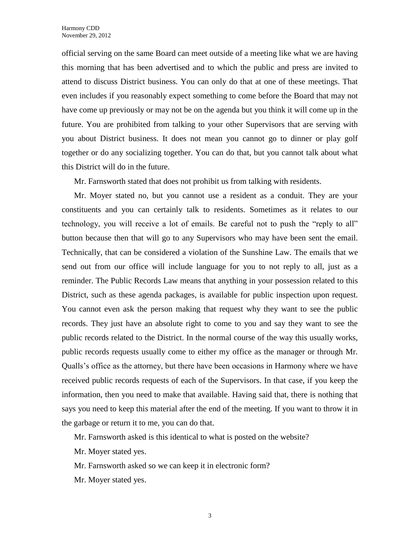official serving on the same Board can meet outside of a meeting like what we are having this morning that has been advertised and to which the public and press are invited to attend to discuss District business. You can only do that at one of these meetings. That even includes if you reasonably expect something to come before the Board that may not have come up previously or may not be on the agenda but you think it will come up in the future. You are prohibited from talking to your other Supervisors that are serving with you about District business. It does not mean you cannot go to dinner or play golf together or do any socializing together. You can do that, but you cannot talk about what this District will do in the future.

Mr. Farnsworth stated that does not prohibit us from talking with residents.

Mr. Moyer stated no, but you cannot use a resident as a conduit. They are your constituents and you can certainly talk to residents. Sometimes as it relates to our technology, you will receive a lot of emails. Be careful not to push the "reply to all" button because then that will go to any Supervisors who may have been sent the email. Technically, that can be considered a violation of the Sunshine Law. The emails that we send out from our office will include language for you to not reply to all, just as a reminder. The Public Records Law means that anything in your possession related to this District, such as these agenda packages, is available for public inspection upon request. You cannot even ask the person making that request why they want to see the public records. They just have an absolute right to come to you and say they want to see the public records related to the District. In the normal course of the way this usually works, public records requests usually come to either my office as the manager or through Mr. Qualls's office as the attorney, but there have been occasions in Harmony where we have received public records requests of each of the Supervisors. In that case, if you keep the information, then you need to make that available. Having said that, there is nothing that says you need to keep this material after the end of the meeting. If you want to throw it in the garbage or return it to me, you can do that.

Mr. Farnsworth asked is this identical to what is posted on the website?

Mr. Moyer stated yes.

Mr. Farnsworth asked so we can keep it in electronic form?

Mr. Moyer stated yes.

3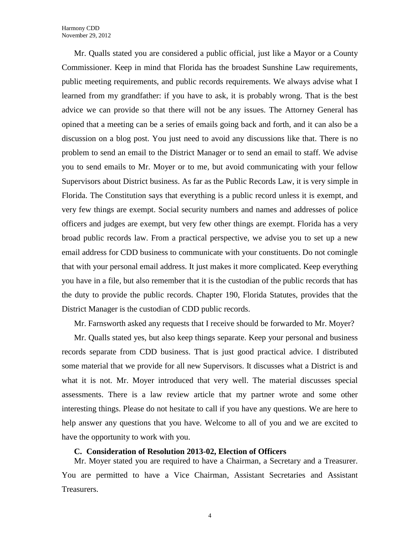Mr. Qualls stated you are considered a public official, just like a Mayor or a County Commissioner. Keep in mind that Florida has the broadest Sunshine Law requirements, public meeting requirements, and public records requirements. We always advise what I learned from my grandfather: if you have to ask, it is probably wrong. That is the best advice we can provide so that there will not be any issues. The Attorney General has opined that a meeting can be a series of emails going back and forth, and it can also be a discussion on a blog post. You just need to avoid any discussions like that. There is no problem to send an email to the District Manager or to send an email to staff. We advise you to send emails to Mr. Moyer or to me, but avoid communicating with your fellow Supervisors about District business. As far as the Public Records Law, it is very simple in Florida. The Constitution says that everything is a public record unless it is exempt, and very few things are exempt. Social security numbers and names and addresses of police officers and judges are exempt, but very few other things are exempt. Florida has a very broad public records law. From a practical perspective, we advise you to set up a new email address for CDD business to communicate with your constituents. Do not comingle that with your personal email address. It just makes it more complicated. Keep everything you have in a file, but also remember that it is the custodian of the public records that has the duty to provide the public records. Chapter 190, Florida Statutes, provides that the District Manager is the custodian of CDD public records.

Mr. Farnsworth asked any requests that I receive should be forwarded to Mr. Moyer?

Mr. Qualls stated yes, but also keep things separate. Keep your personal and business records separate from CDD business. That is just good practical advice. I distributed some material that we provide for all new Supervisors. It discusses what a District is and what it is not. Mr. Moyer introduced that very well. The material discusses special assessments. There is a law review article that my partner wrote and some other interesting things. Please do not hesitate to call if you have any questions. We are here to help answer any questions that you have. Welcome to all of you and we are excited to have the opportunity to work with you.

#### **C. Consideration of Resolution 2013-02, Election of Officers**

Mr. Moyer stated you are required to have a Chairman, a Secretary and a Treasurer. You are permitted to have a Vice Chairman, Assistant Secretaries and Assistant Treasurers.

4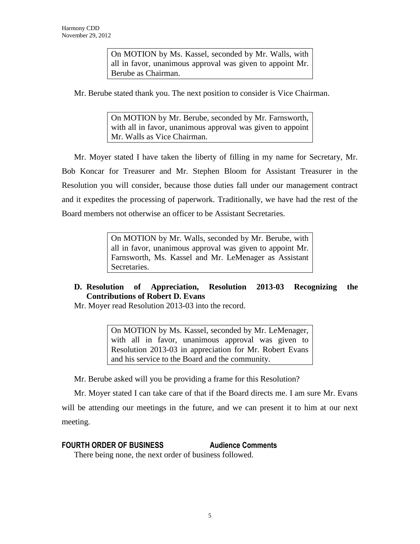On MOTION by Ms. Kassel, seconded by Mr. Walls, with all in favor, unanimous approval was given to appoint Mr. Berube as Chairman.

Mr. Berube stated thank you. The next position to consider is Vice Chairman.

On MOTION by Mr. Berube, seconded by Mr. Farnsworth, with all in favor, unanimous approval was given to appoint Mr. Walls as Vice Chairman.

Mr. Moyer stated I have taken the liberty of filling in my name for Secretary, Mr. Bob Koncar for Treasurer and Mr. Stephen Bloom for Assistant Treasurer in the Resolution you will consider, because those duties fall under our management contract and it expedites the processing of paperwork. Traditionally, we have had the rest of the Board members not otherwise an officer to be Assistant Secretaries.

> On MOTION by Mr. Walls, seconded by Mr. Berube, with all in favor, unanimous approval was given to appoint Mr. Farnsworth, Ms. Kassel and Mr. LeMenager as Assistant Secretaries.

# **D. Resolution of Appreciation, Resolution 2013-03 Recognizing the Contributions of Robert D. Evans**

Mr. Moyer read Resolution 2013-03 into the record.

On MOTION by Ms. Kassel, seconded by Mr. LeMenager, with all in favor, unanimous approval was given to Resolution 2013-03 in appreciation for Mr. Robert Evans and his service to the Board and the community.

Mr. Berube asked will you be providing a frame for this Resolution?

Mr. Moyer stated I can take care of that if the Board directs me. I am sure Mr. Evans will be attending our meetings in the future, and we can present it to him at our next meeting.

# **FOURTH ORDER OF BUSINESS Audience Comments**

There being none, the next order of business followed.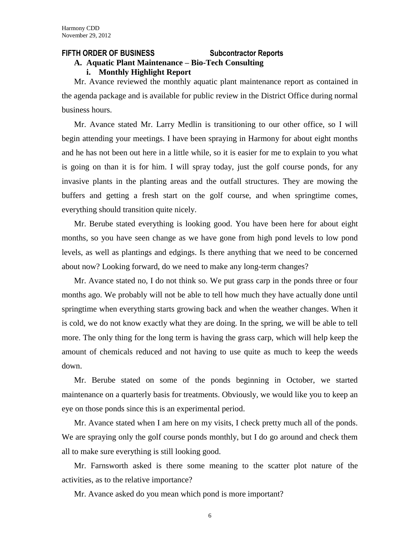#### **FIFTH ORDER OF BUSINESS Subcontractor Reports**

### **A. Aquatic Plant Maintenance – Bio-Tech Consulting**

**i. Monthly Highlight Report**

Mr. Avance reviewed the monthly aquatic plant maintenance report as contained in the agenda package and is available for public review in the District Office during normal business hours.

Mr. Avance stated Mr. Larry Medlin is transitioning to our other office, so I will begin attending your meetings. I have been spraying in Harmony for about eight months and he has not been out here in a little while, so it is easier for me to explain to you what is going on than it is for him. I will spray today, just the golf course ponds, for any invasive plants in the planting areas and the outfall structures. They are mowing the buffers and getting a fresh start on the golf course, and when springtime comes, everything should transition quite nicely.

Mr. Berube stated everything is looking good. You have been here for about eight months, so you have seen change as we have gone from high pond levels to low pond levels, as well as plantings and edgings. Is there anything that we need to be concerned about now? Looking forward, do we need to make any long-term changes?

Mr. Avance stated no, I do not think so. We put grass carp in the ponds three or four months ago. We probably will not be able to tell how much they have actually done until springtime when everything starts growing back and when the weather changes. When it is cold, we do not know exactly what they are doing. In the spring, we will be able to tell more. The only thing for the long term is having the grass carp, which will help keep the amount of chemicals reduced and not having to use quite as much to keep the weeds down.

Mr. Berube stated on some of the ponds beginning in October, we started maintenance on a quarterly basis for treatments. Obviously, we would like you to keep an eye on those ponds since this is an experimental period.

Mr. Avance stated when I am here on my visits, I check pretty much all of the ponds. We are spraying only the golf course ponds monthly, but I do go around and check them all to make sure everything is still looking good.

Mr. Farnsworth asked is there some meaning to the scatter plot nature of the activities, as to the relative importance?

Mr. Avance asked do you mean which pond is more important?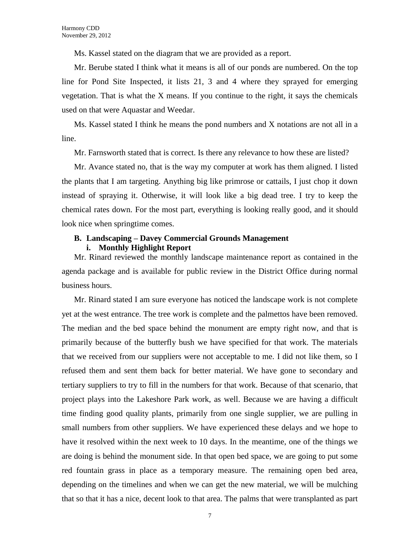Ms. Kassel stated on the diagram that we are provided as a report.

Mr. Berube stated I think what it means is all of our ponds are numbered. On the top line for Pond Site Inspected, it lists 21, 3 and 4 where they sprayed for emerging vegetation. That is what the X means. If you continue to the right, it says the chemicals used on that were Aquastar and Weedar.

Ms. Kassel stated I think he means the pond numbers and X notations are not all in a line.

Mr. Farnsworth stated that is correct. Is there any relevance to how these are listed?

Mr. Avance stated no, that is the way my computer at work has them aligned. I listed the plants that I am targeting. Anything big like primrose or cattails, I just chop it down instead of spraying it. Otherwise, it will look like a big dead tree. I try to keep the chemical rates down. For the most part, everything is looking really good, and it should look nice when springtime comes.

### **B. Landscaping – Davey Commercial Grounds Management i. Monthly Highlight Report**

Mr. Rinard reviewed the monthly landscape maintenance report as contained in the agenda package and is available for public review in the District Office during normal business hours.

Mr. Rinard stated I am sure everyone has noticed the landscape work is not complete yet at the west entrance. The tree work is complete and the palmettos have been removed. The median and the bed space behind the monument are empty right now, and that is primarily because of the butterfly bush we have specified for that work. The materials that we received from our suppliers were not acceptable to me. I did not like them, so I refused them and sent them back for better material. We have gone to secondary and tertiary suppliers to try to fill in the numbers for that work. Because of that scenario, that project plays into the Lakeshore Park work, as well. Because we are having a difficult time finding good quality plants, primarily from one single supplier, we are pulling in small numbers from other suppliers. We have experienced these delays and we hope to have it resolved within the next week to 10 days. In the meantime, one of the things we are doing is behind the monument side. In that open bed space, we are going to put some red fountain grass in place as a temporary measure. The remaining open bed area, depending on the timelines and when we can get the new material, we will be mulching that so that it has a nice, decent look to that area. The palms that were transplanted as part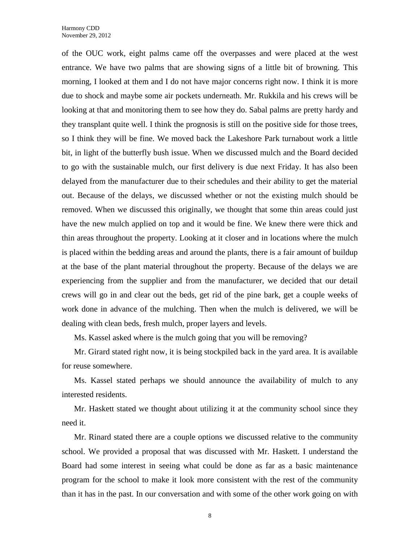of the OUC work, eight palms came off the overpasses and were placed at the west entrance. We have two palms that are showing signs of a little bit of browning. This morning, I looked at them and I do not have major concerns right now. I think it is more due to shock and maybe some air pockets underneath. Mr. Rukkila and his crews will be looking at that and monitoring them to see how they do. Sabal palms are pretty hardy and they transplant quite well. I think the prognosis is still on the positive side for those trees, so I think they will be fine. We moved back the Lakeshore Park turnabout work a little bit, in light of the butterfly bush issue. When we discussed mulch and the Board decided to go with the sustainable mulch, our first delivery is due next Friday. It has also been delayed from the manufacturer due to their schedules and their ability to get the material out. Because of the delays, we discussed whether or not the existing mulch should be removed. When we discussed this originally, we thought that some thin areas could just have the new mulch applied on top and it would be fine. We knew there were thick and thin areas throughout the property. Looking at it closer and in locations where the mulch is placed within the bedding areas and around the plants, there is a fair amount of buildup at the base of the plant material throughout the property. Because of the delays we are experiencing from the supplier and from the manufacturer, we decided that our detail crews will go in and clear out the beds, get rid of the pine bark, get a couple weeks of work done in advance of the mulching. Then when the mulch is delivered, we will be dealing with clean beds, fresh mulch, proper layers and levels.

Ms. Kassel asked where is the mulch going that you will be removing?

Mr. Girard stated right now, it is being stockpiled back in the yard area. It is available for reuse somewhere.

Ms. Kassel stated perhaps we should announce the availability of mulch to any interested residents.

Mr. Haskett stated we thought about utilizing it at the community school since they need it.

Mr. Rinard stated there are a couple options we discussed relative to the community school. We provided a proposal that was discussed with Mr. Haskett. I understand the Board had some interest in seeing what could be done as far as a basic maintenance program for the school to make it look more consistent with the rest of the community than it has in the past. In our conversation and with some of the other work going on with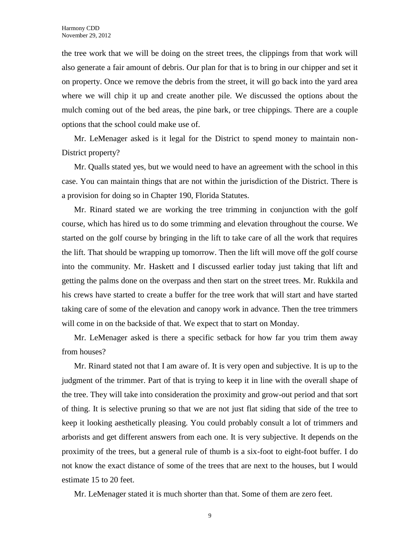the tree work that we will be doing on the street trees, the clippings from that work will also generate a fair amount of debris. Our plan for that is to bring in our chipper and set it on property. Once we remove the debris from the street, it will go back into the yard area where we will chip it up and create another pile. We discussed the options about the mulch coming out of the bed areas, the pine bark, or tree chippings. There are a couple options that the school could make use of.

Mr. LeMenager asked is it legal for the District to spend money to maintain non-District property?

Mr. Qualls stated yes, but we would need to have an agreement with the school in this case. You can maintain things that are not within the jurisdiction of the District. There is a provision for doing so in Chapter 190, Florida Statutes.

Mr. Rinard stated we are working the tree trimming in conjunction with the golf course, which has hired us to do some trimming and elevation throughout the course. We started on the golf course by bringing in the lift to take care of all the work that requires the lift. That should be wrapping up tomorrow. Then the lift will move off the golf course into the community. Mr. Haskett and I discussed earlier today just taking that lift and getting the palms done on the overpass and then start on the street trees. Mr. Rukkila and his crews have started to create a buffer for the tree work that will start and have started taking care of some of the elevation and canopy work in advance. Then the tree trimmers will come in on the backside of that. We expect that to start on Monday.

Mr. LeMenager asked is there a specific setback for how far you trim them away from houses?

Mr. Rinard stated not that I am aware of. It is very open and subjective. It is up to the judgment of the trimmer. Part of that is trying to keep it in line with the overall shape of the tree. They will take into consideration the proximity and grow-out period and that sort of thing. It is selective pruning so that we are not just flat siding that side of the tree to keep it looking aesthetically pleasing. You could probably consult a lot of trimmers and arborists and get different answers from each one. It is very subjective. It depends on the proximity of the trees, but a general rule of thumb is a six-foot to eight-foot buffer. I do not know the exact distance of some of the trees that are next to the houses, but I would estimate 15 to 20 feet.

Mr. LeMenager stated it is much shorter than that. Some of them are zero feet.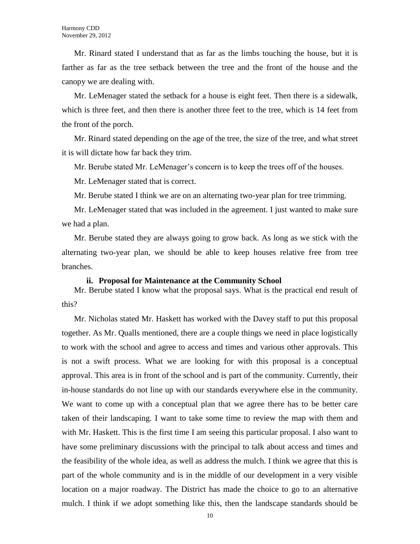Mr. Rinard stated I understand that as far as the limbs touching the house, but it is farther as far as the tree setback between the tree and the front of the house and the canopy we are dealing with.

Mr. LeMenager stated the setback for a house is eight feet. Then there is a sidewalk, which is three feet, and then there is another three feet to the tree, which is 14 feet from the front of the porch.

Mr. Rinard stated depending on the age of the tree, the size of the tree, and what street it is will dictate how far back they trim.

Mr. Berube stated Mr. LeMenager's concern is to keep the trees off of the houses.

Mr. LeMenager stated that is correct.

Mr. Berube stated I think we are on an alternating two-year plan for tree trimming.

Mr. LeMenager stated that was included in the agreement. I just wanted to make sure we had a plan.

Mr. Berube stated they are always going to grow back. As long as we stick with the alternating two-year plan, we should be able to keep houses relative free from tree branches.

#### **ii. Proposal for Maintenance at the Community School**

Mr. Berube stated I know what the proposal says. What is the practical end result of this?

Mr. Nicholas stated Mr. Haskett has worked with the Davey staff to put this proposal together. As Mr. Qualls mentioned, there are a couple things we need in place logistically to work with the school and agree to access and times and various other approvals. This is not a swift process. What we are looking for with this proposal is a conceptual approval. This area is in front of the school and is part of the community. Currently, their in-house standards do not line up with our standards everywhere else in the community. We want to come up with a conceptual plan that we agree there has to be better care taken of their landscaping. I want to take some time to review the map with them and with Mr. Haskett. This is the first time I am seeing this particular proposal. I also want to have some preliminary discussions with the principal to talk about access and times and the feasibility of the whole idea, as well as address the mulch. I think we agree that this is part of the whole community and is in the middle of our development in a very visible location on a major roadway. The District has made the choice to go to an alternative mulch. I think if we adopt something like this, then the landscape standards should be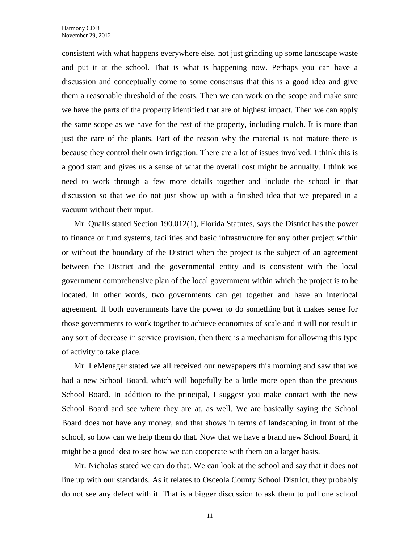consistent with what happens everywhere else, not just grinding up some landscape waste and put it at the school. That is what is happening now. Perhaps you can have a discussion and conceptually come to some consensus that this is a good idea and give them a reasonable threshold of the costs. Then we can work on the scope and make sure we have the parts of the property identified that are of highest impact. Then we can apply the same scope as we have for the rest of the property, including mulch. It is more than just the care of the plants. Part of the reason why the material is not mature there is because they control their own irrigation. There are a lot of issues involved. I think this is a good start and gives us a sense of what the overall cost might be annually. I think we need to work through a few more details together and include the school in that discussion so that we do not just show up with a finished idea that we prepared in a vacuum without their input.

Mr. Qualls stated Section 190.012(1), Florida Statutes, says the District has the power to finance or fund systems, facilities and basic infrastructure for any other project within or without the boundary of the District when the project is the subject of an agreement between the District and the governmental entity and is consistent with the local government comprehensive plan of the local government within which the project is to be located. In other words, two governments can get together and have an interlocal agreement. If both governments have the power to do something but it makes sense for those governments to work together to achieve economies of scale and it will not result in any sort of decrease in service provision, then there is a mechanism for allowing this type of activity to take place.

Mr. LeMenager stated we all received our newspapers this morning and saw that we had a new School Board, which will hopefully be a little more open than the previous School Board. In addition to the principal, I suggest you make contact with the new School Board and see where they are at, as well. We are basically saying the School Board does not have any money, and that shows in terms of landscaping in front of the school, so how can we help them do that. Now that we have a brand new School Board, it might be a good idea to see how we can cooperate with them on a larger basis.

Mr. Nicholas stated we can do that. We can look at the school and say that it does not line up with our standards. As it relates to Osceola County School District, they probably do not see any defect with it. That is a bigger discussion to ask them to pull one school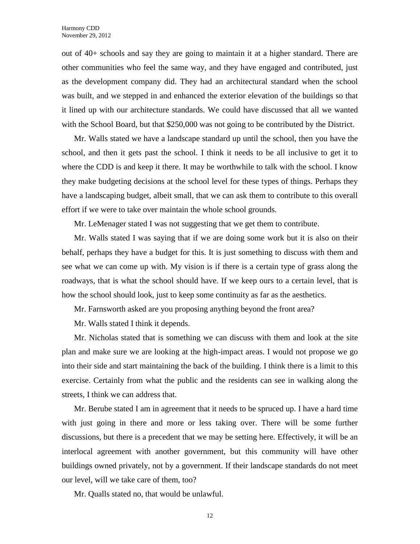out of 40+ schools and say they are going to maintain it at a higher standard. There are other communities who feel the same way, and they have engaged and contributed, just as the development company did. They had an architectural standard when the school was built, and we stepped in and enhanced the exterior elevation of the buildings so that it lined up with our architecture standards. We could have discussed that all we wanted with the School Board, but that \$250,000 was not going to be contributed by the District.

Mr. Walls stated we have a landscape standard up until the school, then you have the school, and then it gets past the school. I think it needs to be all inclusive to get it to where the CDD is and keep it there. It may be worthwhile to talk with the school. I know they make budgeting decisions at the school level for these types of things. Perhaps they have a landscaping budget, albeit small, that we can ask them to contribute to this overall effort if we were to take over maintain the whole school grounds.

Mr. LeMenager stated I was not suggesting that we get them to contribute.

Mr. Walls stated I was saying that if we are doing some work but it is also on their behalf, perhaps they have a budget for this. It is just something to discuss with them and see what we can come up with. My vision is if there is a certain type of grass along the roadways, that is what the school should have. If we keep ours to a certain level, that is how the school should look, just to keep some continuity as far as the aesthetics.

Mr. Farnsworth asked are you proposing anything beyond the front area?

Mr. Walls stated I think it depends.

Mr. Nicholas stated that is something we can discuss with them and look at the site plan and make sure we are looking at the high-impact areas. I would not propose we go into their side and start maintaining the back of the building. I think there is a limit to this exercise. Certainly from what the public and the residents can see in walking along the streets, I think we can address that.

Mr. Berube stated I am in agreement that it needs to be spruced up. I have a hard time with just going in there and more or less taking over. There will be some further discussions, but there is a precedent that we may be setting here. Effectively, it will be an interlocal agreement with another government, but this community will have other buildings owned privately, not by a government. If their landscape standards do not meet our level, will we take care of them, too?

Mr. Qualls stated no, that would be unlawful.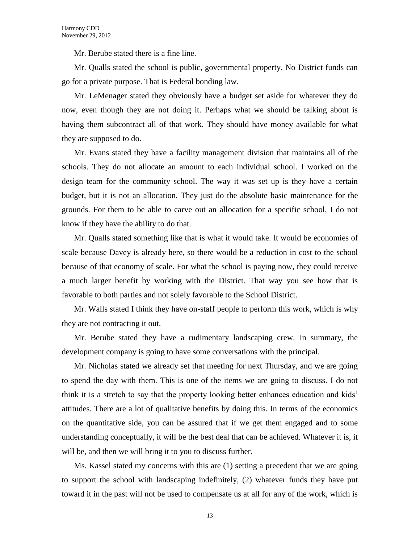Mr. Berube stated there is a fine line.

Mr. Qualls stated the school is public, governmental property. No District funds can go for a private purpose. That is Federal bonding law.

Mr. LeMenager stated they obviously have a budget set aside for whatever they do now, even though they are not doing it. Perhaps what we should be talking about is having them subcontract all of that work. They should have money available for what they are supposed to do.

Mr. Evans stated they have a facility management division that maintains all of the schools. They do not allocate an amount to each individual school. I worked on the design team for the community school. The way it was set up is they have a certain budget, but it is not an allocation. They just do the absolute basic maintenance for the grounds. For them to be able to carve out an allocation for a specific school, I do not know if they have the ability to do that.

Mr. Qualls stated something like that is what it would take. It would be economies of scale because Davey is already here, so there would be a reduction in cost to the school because of that economy of scale. For what the school is paying now, they could receive a much larger benefit by working with the District. That way you see how that is favorable to both parties and not solely favorable to the School District.

Mr. Walls stated I think they have on-staff people to perform this work, which is why they are not contracting it out.

Mr. Berube stated they have a rudimentary landscaping crew. In summary, the development company is going to have some conversations with the principal.

Mr. Nicholas stated we already set that meeting for next Thursday, and we are going to spend the day with them. This is one of the items we are going to discuss. I do not think it is a stretch to say that the property looking better enhances education and kids' attitudes. There are a lot of qualitative benefits by doing this. In terms of the economics on the quantitative side, you can be assured that if we get them engaged and to some understanding conceptually, it will be the best deal that can be achieved. Whatever it is, it will be, and then we will bring it to you to discuss further.

Ms. Kassel stated my concerns with this are (1) setting a precedent that we are going to support the school with landscaping indefinitely, (2) whatever funds they have put toward it in the past will not be used to compensate us at all for any of the work, which is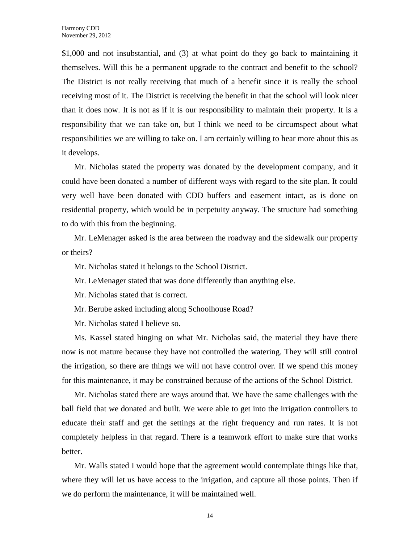\$1,000 and not insubstantial, and (3) at what point do they go back to maintaining it themselves. Will this be a permanent upgrade to the contract and benefit to the school? The District is not really receiving that much of a benefit since it is really the school receiving most of it. The District is receiving the benefit in that the school will look nicer than it does now. It is not as if it is our responsibility to maintain their property. It is a responsibility that we can take on, but I think we need to be circumspect about what responsibilities we are willing to take on. I am certainly willing to hear more about this as it develops.

Mr. Nicholas stated the property was donated by the development company, and it could have been donated a number of different ways with regard to the site plan. It could very well have been donated with CDD buffers and easement intact, as is done on residential property, which would be in perpetuity anyway. The structure had something to do with this from the beginning.

Mr. LeMenager asked is the area between the roadway and the sidewalk our property or theirs?

Mr. Nicholas stated it belongs to the School District.

Mr. LeMenager stated that was done differently than anything else.

Mr. Nicholas stated that is correct.

Mr. Berube asked including along Schoolhouse Road?

Mr. Nicholas stated I believe so.

Ms. Kassel stated hinging on what Mr. Nicholas said, the material they have there now is not mature because they have not controlled the watering. They will still control the irrigation, so there are things we will not have control over. If we spend this money for this maintenance, it may be constrained because of the actions of the School District.

Mr. Nicholas stated there are ways around that. We have the same challenges with the ball field that we donated and built. We were able to get into the irrigation controllers to educate their staff and get the settings at the right frequency and run rates. It is not completely helpless in that regard. There is a teamwork effort to make sure that works better.

Mr. Walls stated I would hope that the agreement would contemplate things like that, where they will let us have access to the irrigation, and capture all those points. Then if we do perform the maintenance, it will be maintained well.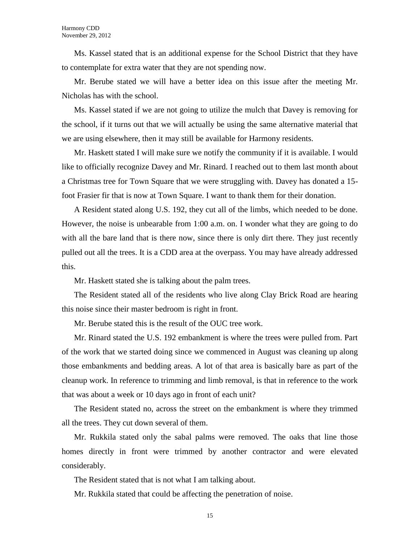Ms. Kassel stated that is an additional expense for the School District that they have to contemplate for extra water that they are not spending now.

Mr. Berube stated we will have a better idea on this issue after the meeting Mr. Nicholas has with the school.

Ms. Kassel stated if we are not going to utilize the mulch that Davey is removing for the school, if it turns out that we will actually be using the same alternative material that we are using elsewhere, then it may still be available for Harmony residents.

Mr. Haskett stated I will make sure we notify the community if it is available. I would like to officially recognize Davey and Mr. Rinard. I reached out to them last month about a Christmas tree for Town Square that we were struggling with. Davey has donated a 15 foot Frasier fir that is now at Town Square. I want to thank them for their donation.

A Resident stated along U.S. 192, they cut all of the limbs, which needed to be done. However, the noise is unbearable from 1:00 a.m. on. I wonder what they are going to do with all the bare land that is there now, since there is only dirt there. They just recently pulled out all the trees. It is a CDD area at the overpass. You may have already addressed this.

Mr. Haskett stated she is talking about the palm trees.

The Resident stated all of the residents who live along Clay Brick Road are hearing this noise since their master bedroom is right in front.

Mr. Berube stated this is the result of the OUC tree work.

Mr. Rinard stated the U.S. 192 embankment is where the trees were pulled from. Part of the work that we started doing since we commenced in August was cleaning up along those embankments and bedding areas. A lot of that area is basically bare as part of the cleanup work. In reference to trimming and limb removal, is that in reference to the work that was about a week or 10 days ago in front of each unit?

The Resident stated no, across the street on the embankment is where they trimmed all the trees. They cut down several of them.

Mr. Rukkila stated only the sabal palms were removed. The oaks that line those homes directly in front were trimmed by another contractor and were elevated considerably.

The Resident stated that is not what I am talking about.

Mr. Rukkila stated that could be affecting the penetration of noise.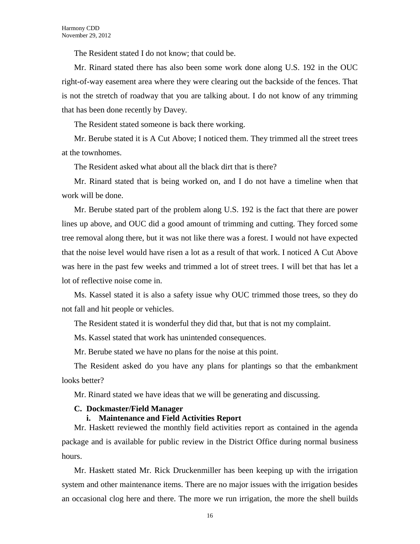The Resident stated I do not know; that could be.

Mr. Rinard stated there has also been some work done along U.S. 192 in the OUC right-of-way easement area where they were clearing out the backside of the fences. That is not the stretch of roadway that you are talking about. I do not know of any trimming that has been done recently by Davey.

The Resident stated someone is back there working.

Mr. Berube stated it is A Cut Above; I noticed them. They trimmed all the street trees at the townhomes.

The Resident asked what about all the black dirt that is there?

Mr. Rinard stated that is being worked on, and I do not have a timeline when that work will be done.

Mr. Berube stated part of the problem along U.S. 192 is the fact that there are power lines up above, and OUC did a good amount of trimming and cutting. They forced some tree removal along there, but it was not like there was a forest. I would not have expected that the noise level would have risen a lot as a result of that work. I noticed A Cut Above was here in the past few weeks and trimmed a lot of street trees. I will bet that has let a lot of reflective noise come in.

Ms. Kassel stated it is also a safety issue why OUC trimmed those trees, so they do not fall and hit people or vehicles.

The Resident stated it is wonderful they did that, but that is not my complaint.

Ms. Kassel stated that work has unintended consequences.

Mr. Berube stated we have no plans for the noise at this point.

The Resident asked do you have any plans for plantings so that the embankment looks better?

Mr. Rinard stated we have ideas that we will be generating and discussing.

#### **C. Dockmaster/Field Manager**

#### **i. Maintenance and Field Activities Report**

Mr. Haskett reviewed the monthly field activities report as contained in the agenda package and is available for public review in the District Office during normal business hours.

Mr. Haskett stated Mr. Rick Druckenmiller has been keeping up with the irrigation system and other maintenance items. There are no major issues with the irrigation besides an occasional clog here and there. The more we run irrigation, the more the shell builds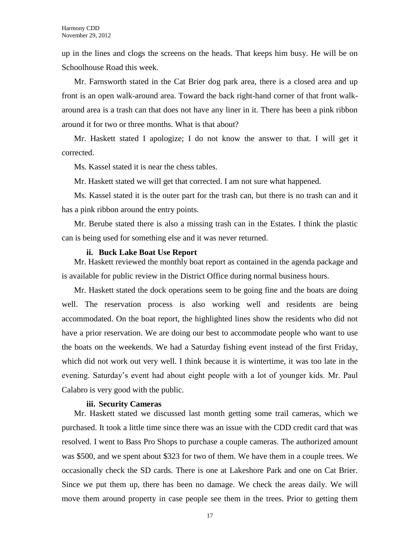up in the lines and clogs the screens on the heads. That keeps him busy. He will be on Schoolhouse Road this week.

Mr. Farnsworth stated in the Cat Brier dog park area, there is a closed area and up front is an open walk-around area. Toward the back right-hand corner of that front walkaround area is a trash can that does not have any liner in it. There has been a pink ribbon around it for two or three months. What is that about?

Mr. Haskett stated I apologize; I do not know the answer to that. I will get it corrected.

Ms. Kassel stated it is near the chess tables.

Mr. Haskett stated we will get that corrected. I am not sure what happened.

Ms. Kassel stated it is the outer part for the trash can, but there is no trash can and it has a pink ribbon around the entry points.

Mr. Berube stated there is also a missing trash can in the Estates. I think the plastic can is being used for something else and it was never returned.

#### **ii. Buck Lake Boat Use Report**

Mr. Haskett reviewed the monthly boat report as contained in the agenda package and is available for public review in the District Office during normal business hours.

Mr. Haskett stated the dock operations seem to be going fine and the boats are doing well. The reservation process is also working well and residents are being accommodated. On the boat report, the highlighted lines show the residents who did not have a prior reservation. We are doing our best to accommodate people who want to use the boats on the weekends. We had a Saturday fishing event instead of the first Friday, which did not work out very well. I think because it is wintertime, it was too late in the evening. Saturday's event had about eight people with a lot of younger kids. Mr. Paul Calabro is very good with the public.

#### **iii. Security Cameras**

Mr. Haskett stated we discussed last month getting some trail cameras, which we purchased. It took a little time since there was an issue with the CDD credit card that was resolved. I went to Bass Pro Shops to purchase a couple cameras. The authorized amount was \$500, and we spent about \$323 for two of them. We have them in a couple trees. We occasionally check the SD cards. There is one at Lakeshore Park and one on Cat Brier. Since we put them up, there has been no damage. We check the areas daily. We will move them around property in case people see them in the trees. Prior to getting them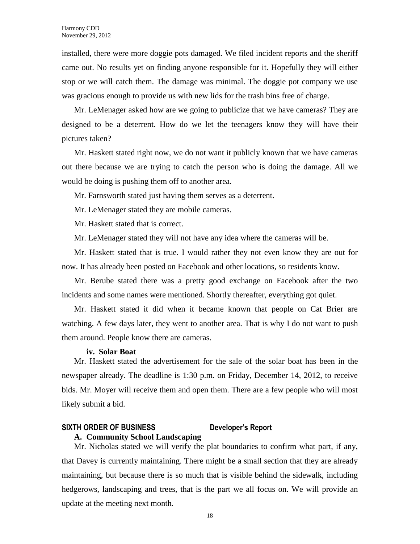installed, there were more doggie pots damaged. We filed incident reports and the sheriff came out. No results yet on finding anyone responsible for it. Hopefully they will either stop or we will catch them. The damage was minimal. The doggie pot company we use was gracious enough to provide us with new lids for the trash bins free of charge.

Mr. LeMenager asked how are we going to publicize that we have cameras? They are designed to be a deterrent. How do we let the teenagers know they will have their pictures taken?

Mr. Haskett stated right now, we do not want it publicly known that we have cameras out there because we are trying to catch the person who is doing the damage. All we would be doing is pushing them off to another area.

Mr. Farnsworth stated just having them serves as a deterrent.

Mr. LeMenager stated they are mobile cameras.

Mr. Haskett stated that is correct.

Mr. LeMenager stated they will not have any idea where the cameras will be.

Mr. Haskett stated that is true. I would rather they not even know they are out for now. It has already been posted on Facebook and other locations, so residents know.

Mr. Berube stated there was a pretty good exchange on Facebook after the two incidents and some names were mentioned. Shortly thereafter, everything got quiet.

Mr. Haskett stated it did when it became known that people on Cat Brier are watching. A few days later, they went to another area. That is why I do not want to push them around. People know there are cameras.

#### **iv. Solar Boat**

Mr. Haskett stated the advertisement for the sale of the solar boat has been in the newspaper already. The deadline is 1:30 p.m. on Friday, December 14, 2012, to receive bids. Mr. Moyer will receive them and open them. There are a few people who will most likely submit a bid.

# **SIXTH ORDER OF BUSINESS Developer's Report**

#### **A. Community School Landscaping**

Mr. Nicholas stated we will verify the plat boundaries to confirm what part, if any, that Davey is currently maintaining. There might be a small section that they are already maintaining, but because there is so much that is visible behind the sidewalk, including hedgerows, landscaping and trees, that is the part we all focus on. We will provide an update at the meeting next month.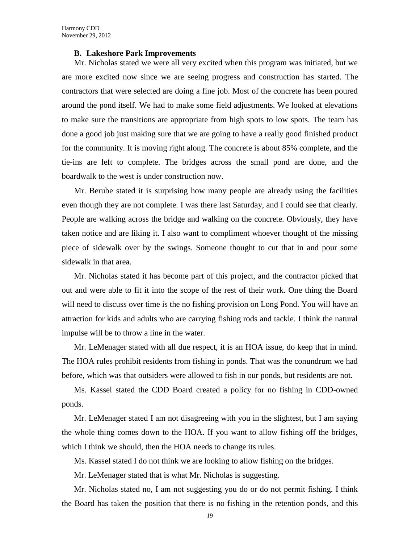#### **B. Lakeshore Park Improvements**

Mr. Nicholas stated we were all very excited when this program was initiated, but we are more excited now since we are seeing progress and construction has started. The contractors that were selected are doing a fine job. Most of the concrete has been poured around the pond itself. We had to make some field adjustments. We looked at elevations to make sure the transitions are appropriate from high spots to low spots. The team has done a good job just making sure that we are going to have a really good finished product for the community. It is moving right along. The concrete is about 85% complete, and the tie-ins are left to complete. The bridges across the small pond are done, and the boardwalk to the west is under construction now.

Mr. Berube stated it is surprising how many people are already using the facilities even though they are not complete. I was there last Saturday, and I could see that clearly. People are walking across the bridge and walking on the concrete. Obviously, they have taken notice and are liking it. I also want to compliment whoever thought of the missing piece of sidewalk over by the swings. Someone thought to cut that in and pour some sidewalk in that area.

Mr. Nicholas stated it has become part of this project, and the contractor picked that out and were able to fit it into the scope of the rest of their work. One thing the Board will need to discuss over time is the no fishing provision on Long Pond. You will have an attraction for kids and adults who are carrying fishing rods and tackle. I think the natural impulse will be to throw a line in the water.

Mr. LeMenager stated with all due respect, it is an HOA issue, do keep that in mind. The HOA rules prohibit residents from fishing in ponds. That was the conundrum we had before, which was that outsiders were allowed to fish in our ponds, but residents are not.

Ms. Kassel stated the CDD Board created a policy for no fishing in CDD-owned ponds.

Mr. LeMenager stated I am not disagreeing with you in the slightest, but I am saying the whole thing comes down to the HOA. If you want to allow fishing off the bridges, which I think we should, then the HOA needs to change its rules.

Ms. Kassel stated I do not think we are looking to allow fishing on the bridges.

Mr. LeMenager stated that is what Mr. Nicholas is suggesting.

Mr. Nicholas stated no, I am not suggesting you do or do not permit fishing. I think the Board has taken the position that there is no fishing in the retention ponds, and this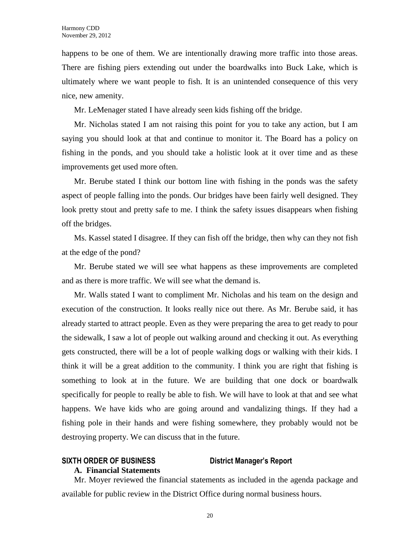happens to be one of them. We are intentionally drawing more traffic into those areas. There are fishing piers extending out under the boardwalks into Buck Lake, which is ultimately where we want people to fish. It is an unintended consequence of this very nice, new amenity.

Mr. LeMenager stated I have already seen kids fishing off the bridge.

Mr. Nicholas stated I am not raising this point for you to take any action, but I am saying you should look at that and continue to monitor it. The Board has a policy on fishing in the ponds, and you should take a holistic look at it over time and as these improvements get used more often.

Mr. Berube stated I think our bottom line with fishing in the ponds was the safety aspect of people falling into the ponds. Our bridges have been fairly well designed. They look pretty stout and pretty safe to me. I think the safety issues disappears when fishing off the bridges.

Ms. Kassel stated I disagree. If they can fish off the bridge, then why can they not fish at the edge of the pond?

Mr. Berube stated we will see what happens as these improvements are completed and as there is more traffic. We will see what the demand is.

Mr. Walls stated I want to compliment Mr. Nicholas and his team on the design and execution of the construction. It looks really nice out there. As Mr. Berube said, it has already started to attract people. Even as they were preparing the area to get ready to pour the sidewalk, I saw a lot of people out walking around and checking it out. As everything gets constructed, there will be a lot of people walking dogs or walking with their kids. I think it will be a great addition to the community. I think you are right that fishing is something to look at in the future. We are building that one dock or boardwalk specifically for people to really be able to fish. We will have to look at that and see what happens. We have kids who are going around and vandalizing things. If they had a fishing pole in their hands and were fishing somewhere, they probably would not be destroying property. We can discuss that in the future.

### **SIXTH ORDER OF BUSINESS District Manager's Report**

#### **A. Financial Statements**

Mr. Moyer reviewed the financial statements as included in the agenda package and available for public review in the District Office during normal business hours.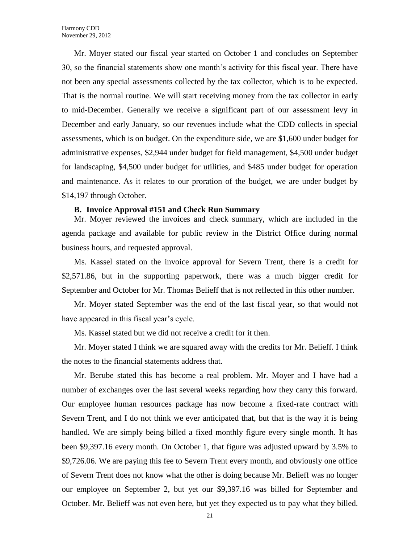Mr. Moyer stated our fiscal year started on October 1 and concludes on September 30, so the financial statements show one month's activity for this fiscal year. There have not been any special assessments collected by the tax collector, which is to be expected. That is the normal routine. We will start receiving money from the tax collector in early to mid-December. Generally we receive a significant part of our assessment levy in December and early January, so our revenues include what the CDD collects in special assessments, which is on budget. On the expenditure side, we are \$1,600 under budget for administrative expenses, \$2,944 under budget for field management, \$4,500 under budget for landscaping, \$4,500 under budget for utilities, and \$485 under budget for operation and maintenance. As it relates to our proration of the budget, we are under budget by \$14,197 through October.

#### **B. Invoice Approval #151 and Check Run Summary**

Mr. Moyer reviewed the invoices and check summary, which are included in the agenda package and available for public review in the District Office during normal business hours, and requested approval.

Ms. Kassel stated on the invoice approval for Severn Trent, there is a credit for \$2,571.86, but in the supporting paperwork, there was a much bigger credit for September and October for Mr. Thomas Belieff that is not reflected in this other number.

Mr. Moyer stated September was the end of the last fiscal year, so that would not have appeared in this fiscal year's cycle.

Ms. Kassel stated but we did not receive a credit for it then.

Mr. Moyer stated I think we are squared away with the credits for Mr. Belieff. I think the notes to the financial statements address that.

Mr. Berube stated this has become a real problem. Mr. Moyer and I have had a number of exchanges over the last several weeks regarding how they carry this forward. Our employee human resources package has now become a fixed-rate contract with Severn Trent, and I do not think we ever anticipated that, but that is the way it is being handled. We are simply being billed a fixed monthly figure every single month. It has been \$9,397.16 every month. On October 1, that figure was adjusted upward by 3.5% to \$9,726.06. We are paying this fee to Severn Trent every month, and obviously one office of Severn Trent does not know what the other is doing because Mr. Belieff was no longer our employee on September 2, but yet our \$9,397.16 was billed for September and October. Mr. Belieff was not even here, but yet they expected us to pay what they billed.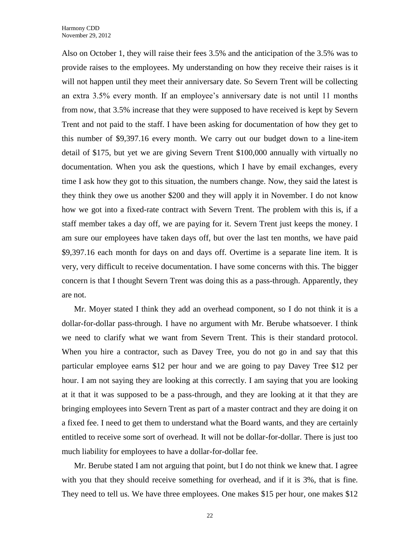Also on October 1, they will raise their fees 3.5% and the anticipation of the 3.5% was to provide raises to the employees. My understanding on how they receive their raises is it will not happen until they meet their anniversary date. So Severn Trent will be collecting an extra 3.5% every month. If an employee's anniversary date is not until 11 months from now, that 3.5% increase that they were supposed to have received is kept by Severn Trent and not paid to the staff. I have been asking for documentation of how they get to this number of \$9,397.16 every month. We carry out our budget down to a line-item detail of \$175, but yet we are giving Severn Trent \$100,000 annually with virtually no documentation. When you ask the questions, which I have by email exchanges, every time I ask how they got to this situation, the numbers change. Now, they said the latest is they think they owe us another \$200 and they will apply it in November. I do not know how we got into a fixed-rate contract with Severn Trent. The problem with this is, if a staff member takes a day off, we are paying for it. Severn Trent just keeps the money. I am sure our employees have taken days off, but over the last ten months, we have paid \$9,397.16 each month for days on and days off. Overtime is a separate line item. It is very, very difficult to receive documentation. I have some concerns with this. The bigger concern is that I thought Severn Trent was doing this as a pass-through. Apparently, they are not.

Mr. Moyer stated I think they add an overhead component, so I do not think it is a dollar-for-dollar pass-through. I have no argument with Mr. Berube whatsoever. I think we need to clarify what we want from Severn Trent. This is their standard protocol. When you hire a contractor, such as Davey Tree, you do not go in and say that this particular employee earns \$12 per hour and we are going to pay Davey Tree \$12 per hour. I am not saying they are looking at this correctly. I am saying that you are looking at it that it was supposed to be a pass-through, and they are looking at it that they are bringing employees into Severn Trent as part of a master contract and they are doing it on a fixed fee. I need to get them to understand what the Board wants, and they are certainly entitled to receive some sort of overhead. It will not be dollar-for-dollar. There is just too much liability for employees to have a dollar-for-dollar fee.

Mr. Berube stated I am not arguing that point, but I do not think we knew that. I agree with you that they should receive something for overhead, and if it is 3%, that is fine. They need to tell us. We have three employees. One makes \$15 per hour, one makes \$12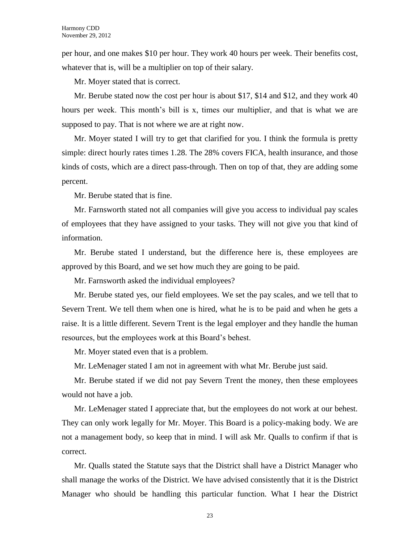per hour, and one makes \$10 per hour. They work 40 hours per week. Their benefits cost, whatever that is, will be a multiplier on top of their salary.

Mr. Moyer stated that is correct.

Mr. Berube stated now the cost per hour is about \$17, \$14 and \$12, and they work 40 hours per week. This month's bill is x, times our multiplier, and that is what we are supposed to pay. That is not where we are at right now.

Mr. Moyer stated I will try to get that clarified for you. I think the formula is pretty simple: direct hourly rates times 1.28. The 28% covers FICA, health insurance, and those kinds of costs, which are a direct pass-through. Then on top of that, they are adding some percent.

Mr. Berube stated that is fine.

Mr. Farnsworth stated not all companies will give you access to individual pay scales of employees that they have assigned to your tasks. They will not give you that kind of information.

Mr. Berube stated I understand, but the difference here is, these employees are approved by this Board, and we set how much they are going to be paid.

Mr. Farnsworth asked the individual employees?

Mr. Berube stated yes, our field employees. We set the pay scales, and we tell that to Severn Trent. We tell them when one is hired, what he is to be paid and when he gets a raise. It is a little different. Severn Trent is the legal employer and they handle the human resources, but the employees work at this Board's behest.

Mr. Moyer stated even that is a problem.

Mr. LeMenager stated I am not in agreement with what Mr. Berube just said.

Mr. Berube stated if we did not pay Severn Trent the money, then these employees would not have a job.

Mr. LeMenager stated I appreciate that, but the employees do not work at our behest. They can only work legally for Mr. Moyer. This Board is a policy-making body. We are not a management body, so keep that in mind. I will ask Mr. Qualls to confirm if that is correct.

Mr. Qualls stated the Statute says that the District shall have a District Manager who shall manage the works of the District. We have advised consistently that it is the District Manager who should be handling this particular function. What I hear the District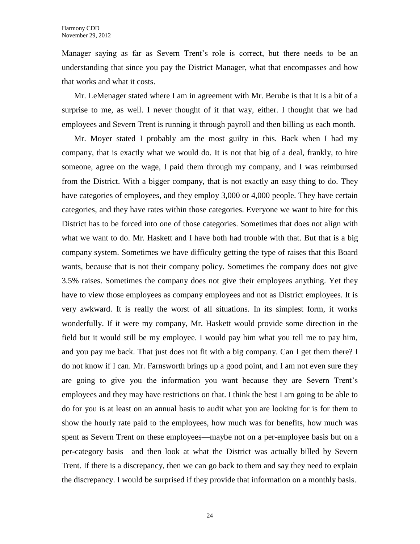Manager saying as far as Severn Trent's role is correct, but there needs to be an understanding that since you pay the District Manager, what that encompasses and how that works and what it costs.

Mr. LeMenager stated where I am in agreement with Mr. Berube is that it is a bit of a surprise to me, as well. I never thought of it that way, either. I thought that we had employees and Severn Trent is running it through payroll and then billing us each month.

Mr. Moyer stated I probably am the most guilty in this. Back when I had my company, that is exactly what we would do. It is not that big of a deal, frankly, to hire someone, agree on the wage, I paid them through my company, and I was reimbursed from the District. With a bigger company, that is not exactly an easy thing to do. They have categories of employees, and they employ 3,000 or 4,000 people. They have certain categories, and they have rates within those categories. Everyone we want to hire for this District has to be forced into one of those categories. Sometimes that does not align with what we want to do. Mr. Haskett and I have both had trouble with that. But that is a big company system. Sometimes we have difficulty getting the type of raises that this Board wants, because that is not their company policy. Sometimes the company does not give 3.5% raises. Sometimes the company does not give their employees anything. Yet they have to view those employees as company employees and not as District employees. It is very awkward. It is really the worst of all situations. In its simplest form, it works wonderfully. If it were my company, Mr. Haskett would provide some direction in the field but it would still be my employee. I would pay him what you tell me to pay him, and you pay me back. That just does not fit with a big company. Can I get them there? I do not know if I can. Mr. Farnsworth brings up a good point, and I am not even sure they are going to give you the information you want because they are Severn Trent's employees and they may have restrictions on that. I think the best I am going to be able to do for you is at least on an annual basis to audit what you are looking for is for them to show the hourly rate paid to the employees, how much was for benefits, how much was spent as Severn Trent on these employees—maybe not on a per-employee basis but on a per-category basis—and then look at what the District was actually billed by Severn Trent. If there is a discrepancy, then we can go back to them and say they need to explain the discrepancy. I would be surprised if they provide that information on a monthly basis.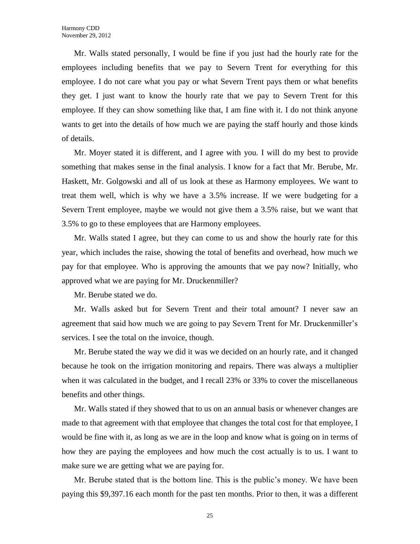Mr. Walls stated personally, I would be fine if you just had the hourly rate for the employees including benefits that we pay to Severn Trent for everything for this employee. I do not care what you pay or what Severn Trent pays them or what benefits they get. I just want to know the hourly rate that we pay to Severn Trent for this employee. If they can show something like that, I am fine with it. I do not think anyone wants to get into the details of how much we are paying the staff hourly and those kinds of details.

Mr. Moyer stated it is different, and I agree with you. I will do my best to provide something that makes sense in the final analysis. I know for a fact that Mr. Berube, Mr. Haskett, Mr. Golgowski and all of us look at these as Harmony employees. We want to treat them well, which is why we have a 3.5% increase. If we were budgeting for a Severn Trent employee, maybe we would not give them a 3.5% raise, but we want that 3.5% to go to these employees that are Harmony employees.

Mr. Walls stated I agree, but they can come to us and show the hourly rate for this year, which includes the raise, showing the total of benefits and overhead, how much we pay for that employee. Who is approving the amounts that we pay now? Initially, who approved what we are paying for Mr. Druckenmiller?

Mr. Berube stated we do.

Mr. Walls asked but for Severn Trent and their total amount? I never saw an agreement that said how much we are going to pay Severn Trent for Mr. Druckenmiller's services. I see the total on the invoice, though.

Mr. Berube stated the way we did it was we decided on an hourly rate, and it changed because he took on the irrigation monitoring and repairs. There was always a multiplier when it was calculated in the budget, and I recall 23% or 33% to cover the miscellaneous benefits and other things.

Mr. Walls stated if they showed that to us on an annual basis or whenever changes are made to that agreement with that employee that changes the total cost for that employee, I would be fine with it, as long as we are in the loop and know what is going on in terms of how they are paying the employees and how much the cost actually is to us. I want to make sure we are getting what we are paying for.

Mr. Berube stated that is the bottom line. This is the public's money. We have been paying this \$9,397.16 each month for the past ten months. Prior to then, it was a different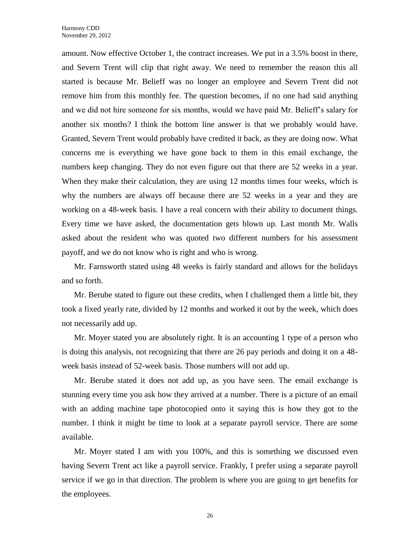amount. Now effective October 1, the contract increases. We put in a 3.5% boost in there, and Severn Trent will clip that right away. We need to remember the reason this all started is because Mr. Belieff was no longer an employee and Severn Trent did not remove him from this monthly fee. The question becomes, if no one had said anything and we did not hire someone for six months, would we have paid Mr. Belieff's salary for another six months? I think the bottom line answer is that we probably would have. Granted, Severn Trent would probably have credited it back, as they are doing now. What concerns me is everything we have gone back to them in this email exchange, the numbers keep changing. They do not even figure out that there are 52 weeks in a year. When they make their calculation, they are using 12 months times four weeks, which is why the numbers are always off because there are 52 weeks in a year and they are working on a 48-week basis. I have a real concern with their ability to document things. Every time we have asked, the documentation gets blown up. Last month Mr. Walls asked about the resident who was quoted two different numbers for his assessment payoff, and we do not know who is right and who is wrong.

Mr. Farnsworth stated using 48 weeks is fairly standard and allows for the holidays and so forth.

Mr. Berube stated to figure out these credits, when I challenged them a little bit, they took a fixed yearly rate, divided by 12 months and worked it out by the week, which does not necessarily add up.

Mr. Moyer stated you are absolutely right. It is an accounting 1 type of a person who is doing this analysis, not recognizing that there are 26 pay periods and doing it on a 48 week basis instead of 52-week basis. Those numbers will not add up.

Mr. Berube stated it does not add up, as you have seen. The email exchange is stunning every time you ask how they arrived at a number. There is a picture of an email with an adding machine tape photocopied onto it saying this is how they got to the number. I think it might be time to look at a separate payroll service. There are some available.

Mr. Moyer stated I am with you 100%, and this is something we discussed even having Severn Trent act like a payroll service. Frankly, I prefer using a separate payroll service if we go in that direction. The problem is where you are going to get benefits for the employees.

26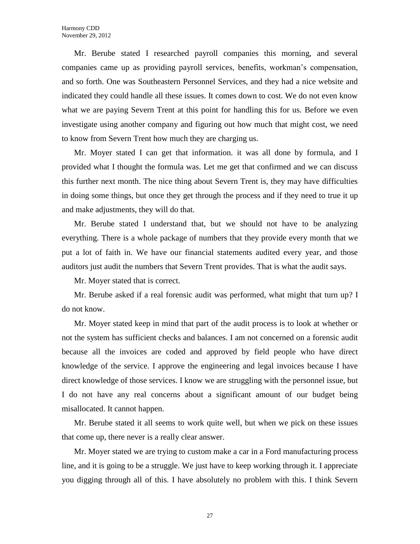Mr. Berube stated I researched payroll companies this morning, and several companies came up as providing payroll services, benefits, workman's compensation, and so forth. One was Southeastern Personnel Services, and they had a nice website and indicated they could handle all these issues. It comes down to cost. We do not even know what we are paying Severn Trent at this point for handling this for us. Before we even investigate using another company and figuring out how much that might cost, we need to know from Severn Trent how much they are charging us.

Mr. Moyer stated I can get that information. it was all done by formula, and I provided what I thought the formula was. Let me get that confirmed and we can discuss this further next month. The nice thing about Severn Trent is, they may have difficulties in doing some things, but once they get through the process and if they need to true it up and make adjustments, they will do that.

Mr. Berube stated I understand that, but we should not have to be analyzing everything. There is a whole package of numbers that they provide every month that we put a lot of faith in. We have our financial statements audited every year, and those auditors just audit the numbers that Severn Trent provides. That is what the audit says.

Mr. Moyer stated that is correct.

Mr. Berube asked if a real forensic audit was performed, what might that turn up? I do not know.

Mr. Moyer stated keep in mind that part of the audit process is to look at whether or not the system has sufficient checks and balances. I am not concerned on a forensic audit because all the invoices are coded and approved by field people who have direct knowledge of the service. I approve the engineering and legal invoices because I have direct knowledge of those services. I know we are struggling with the personnel issue, but I do not have any real concerns about a significant amount of our budget being misallocated. It cannot happen.

Mr. Berube stated it all seems to work quite well, but when we pick on these issues that come up, there never is a really clear answer.

Mr. Moyer stated we are trying to custom make a car in a Ford manufacturing process line, and it is going to be a struggle. We just have to keep working through it. I appreciate you digging through all of this. I have absolutely no problem with this. I think Severn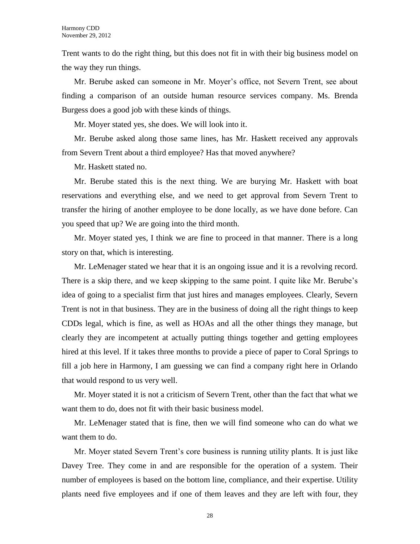Trent wants to do the right thing, but this does not fit in with their big business model on the way they run things.

Mr. Berube asked can someone in Mr. Moyer's office, not Severn Trent, see about finding a comparison of an outside human resource services company. Ms. Brenda Burgess does a good job with these kinds of things.

Mr. Moyer stated yes, she does. We will look into it.

Mr. Berube asked along those same lines, has Mr. Haskett received any approvals from Severn Trent about a third employee? Has that moved anywhere?

Mr. Haskett stated no.

Mr. Berube stated this is the next thing. We are burying Mr. Haskett with boat reservations and everything else, and we need to get approval from Severn Trent to transfer the hiring of another employee to be done locally, as we have done before. Can you speed that up? We are going into the third month.

Mr. Moyer stated yes, I think we are fine to proceed in that manner. There is a long story on that, which is interesting.

Mr. LeMenager stated we hear that it is an ongoing issue and it is a revolving record. There is a skip there, and we keep skipping to the same point. I quite like Mr. Berube's idea of going to a specialist firm that just hires and manages employees. Clearly, Severn Trent is not in that business. They are in the business of doing all the right things to keep CDDs legal, which is fine, as well as HOAs and all the other things they manage, but clearly they are incompetent at actually putting things together and getting employees hired at this level. If it takes three months to provide a piece of paper to Coral Springs to fill a job here in Harmony, I am guessing we can find a company right here in Orlando that would respond to us very well.

Mr. Moyer stated it is not a criticism of Severn Trent, other than the fact that what we want them to do, does not fit with their basic business model.

Mr. LeMenager stated that is fine, then we will find someone who can do what we want them to do.

Mr. Moyer stated Severn Trent's core business is running utility plants. It is just like Davey Tree. They come in and are responsible for the operation of a system. Their number of employees is based on the bottom line, compliance, and their expertise. Utility plants need five employees and if one of them leaves and they are left with four, they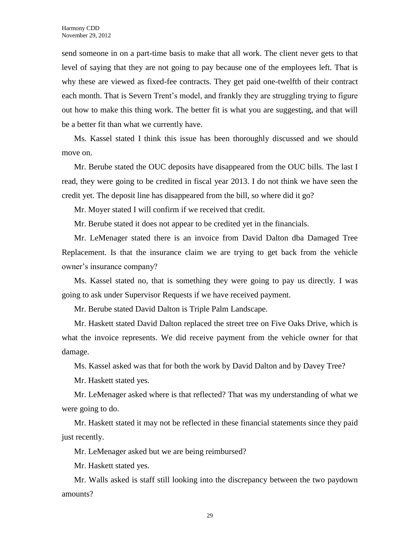send someone in on a part-time basis to make that all work. The client never gets to that level of saying that they are not going to pay because one of the employees left. That is why these are viewed as fixed-fee contracts. They get paid one-twelfth of their contract each month. That is Severn Trent's model, and frankly they are struggling trying to figure out how to make this thing work. The better fit is what you are suggesting, and that will be a better fit than what we currently have.

Ms. Kassel stated I think this issue has been thoroughly discussed and we should move on.

Mr. Berube stated the OUC deposits have disappeared from the OUC bills. The last I read, they were going to be credited in fiscal year 2013. I do not think we have seen the credit yet. The deposit line has disappeared from the bill, so where did it go?

Mr. Moyer stated I will confirm if we received that credit.

Mr. Berube stated it does not appear to be credited yet in the financials.

Mr. LeMenager stated there is an invoice from David Dalton dba Damaged Tree Replacement. Is that the insurance claim we are trying to get back from the vehicle owner's insurance company?

Ms. Kassel stated no, that is something they were going to pay us directly. I was going to ask under Supervisor Requests if we have received payment.

Mr. Berube stated David Dalton is Triple Palm Landscape.

Mr. Haskett stated David Dalton replaced the street tree on Five Oaks Drive, which is what the invoice represents. We did receive payment from the vehicle owner for that damage.

Ms. Kassel asked was that for both the work by David Dalton and by Davey Tree?

Mr. Haskett stated yes.

Mr. LeMenager asked where is that reflected? That was my understanding of what we were going to do.

Mr. Haskett stated it may not be reflected in these financial statements since they paid just recently.

Mr. LeMenager asked but we are being reimbursed?

Mr. Haskett stated yes.

Mr. Walls asked is staff still looking into the discrepancy between the two paydown amounts?

29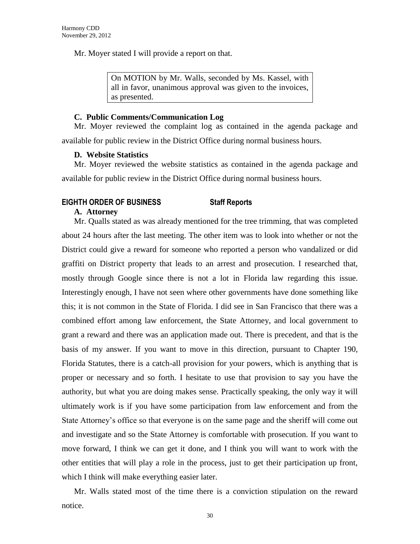Mr. Moyer stated I will provide a report on that.

On MOTION by Mr. Walls, seconded by Ms. Kassel, with all in favor, unanimous approval was given to the invoices, as presented.

#### **C. Public Comments/Communication Log**

Mr. Moyer reviewed the complaint log as contained in the agenda package and available for public review in the District Office during normal business hours.

### **D. Website Statistics**

Mr. Moyer reviewed the website statistics as contained in the agenda package and available for public review in the District Office during normal business hours.

### **EIGHTH ORDER OF BUSINESS Staff Reports**

#### **A. Attorney**

Mr. Qualls stated as was already mentioned for the tree trimming, that was completed about 24 hours after the last meeting. The other item was to look into whether or not the District could give a reward for someone who reported a person who vandalized or did graffiti on District property that leads to an arrest and prosecution. I researched that, mostly through Google since there is not a lot in Florida law regarding this issue. Interestingly enough, I have not seen where other governments have done something like this; it is not common in the State of Florida. I did see in San Francisco that there was a combined effort among law enforcement, the State Attorney, and local government to grant a reward and there was an application made out. There is precedent, and that is the basis of my answer. If you want to move in this direction, pursuant to Chapter 190, Florida Statutes, there is a catch-all provision for your powers, which is anything that is proper or necessary and so forth. I hesitate to use that provision to say you have the authority, but what you are doing makes sense. Practically speaking, the only way it will ultimately work is if you have some participation from law enforcement and from the State Attorney's office so that everyone is on the same page and the sheriff will come out and investigate and so the State Attorney is comfortable with prosecution. If you want to move forward, I think we can get it done, and I think you will want to work with the other entities that will play a role in the process, just to get their participation up front, which I think will make everything easier later.

Mr. Walls stated most of the time there is a conviction stipulation on the reward notice.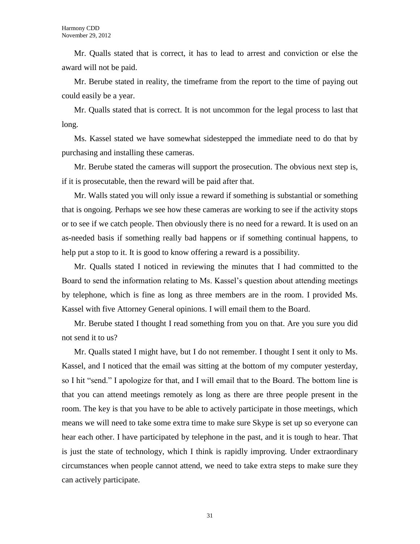Mr. Qualls stated that is correct, it has to lead to arrest and conviction or else the award will not be paid.

Mr. Berube stated in reality, the timeframe from the report to the time of paying out could easily be a year.

Mr. Qualls stated that is correct. It is not uncommon for the legal process to last that long.

Ms. Kassel stated we have somewhat sidestepped the immediate need to do that by purchasing and installing these cameras.

Mr. Berube stated the cameras will support the prosecution. The obvious next step is, if it is prosecutable, then the reward will be paid after that.

Mr. Walls stated you will only issue a reward if something is substantial or something that is ongoing. Perhaps we see how these cameras are working to see if the activity stops or to see if we catch people. Then obviously there is no need for a reward. It is used on an as-needed basis if something really bad happens or if something continual happens, to help put a stop to it. It is good to know offering a reward is a possibility.

Mr. Qualls stated I noticed in reviewing the minutes that I had committed to the Board to send the information relating to Ms. Kassel's question about attending meetings by telephone, which is fine as long as three members are in the room. I provided Ms. Kassel with five Attorney General opinions. I will email them to the Board.

Mr. Berube stated I thought I read something from you on that. Are you sure you did not send it to us?

Mr. Qualls stated I might have, but I do not remember. I thought I sent it only to Ms. Kassel, and I noticed that the email was sitting at the bottom of my computer yesterday, so I hit "send." I apologize for that, and I will email that to the Board. The bottom line is that you can attend meetings remotely as long as there are three people present in the room. The key is that you have to be able to actively participate in those meetings, which means we will need to take some extra time to make sure Skype is set up so everyone can hear each other. I have participated by telephone in the past, and it is tough to hear. That is just the state of technology, which I think is rapidly improving. Under extraordinary circumstances when people cannot attend, we need to take extra steps to make sure they can actively participate.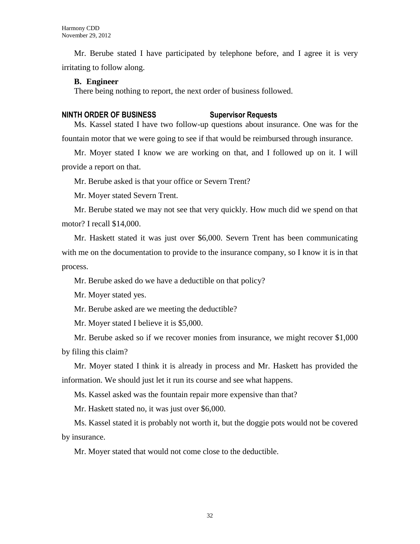Mr. Berube stated I have participated by telephone before, and I agree it is very irritating to follow along.

#### **B. Engineer**

There being nothing to report, the next order of business followed.

#### **NINTH ORDER OF BUSINESS Supervisor Requests**

Ms. Kassel stated I have two follow-up questions about insurance. One was for the fountain motor that we were going to see if that would be reimbursed through insurance.

Mr. Moyer stated I know we are working on that, and I followed up on it. I will provide a report on that.

Mr. Berube asked is that your office or Severn Trent?

Mr. Moyer stated Severn Trent.

Mr. Berube stated we may not see that very quickly. How much did we spend on that motor? I recall \$14,000.

Mr. Haskett stated it was just over \$6,000. Severn Trent has been communicating with me on the documentation to provide to the insurance company, so I know it is in that process.

Mr. Berube asked do we have a deductible on that policy?

Mr. Moyer stated yes.

Mr. Berube asked are we meeting the deductible?

Mr. Moyer stated I believe it is \$5,000.

Mr. Berube asked so if we recover monies from insurance, we might recover \$1,000 by filing this claim?

Mr. Moyer stated I think it is already in process and Mr. Haskett has provided the information. We should just let it run its course and see what happens.

Ms. Kassel asked was the fountain repair more expensive than that?

Mr. Haskett stated no, it was just over \$6,000.

Ms. Kassel stated it is probably not worth it, but the doggie pots would not be covered by insurance.

Mr. Moyer stated that would not come close to the deductible.